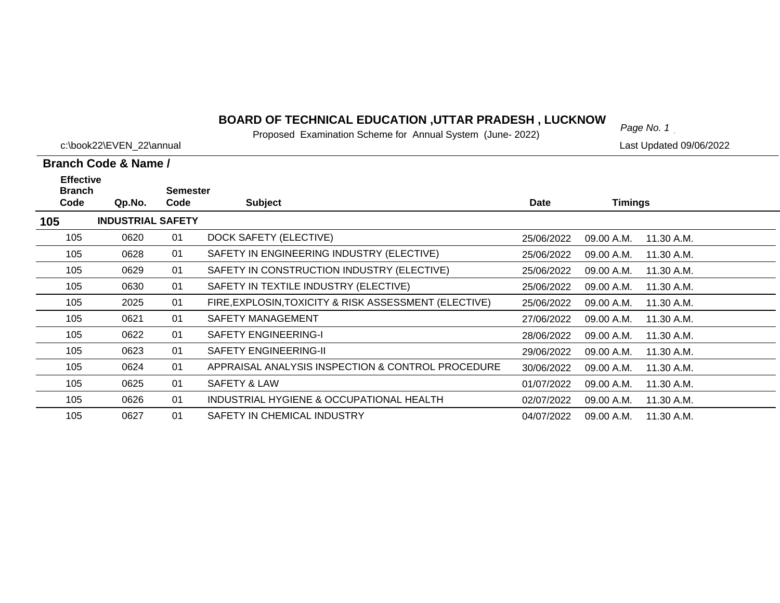# *Page No. 1* **BOARD OF TECHNICAL EDUCATION ,UTTAR PRADESH , LUCKNOW**

Proposed Examination Scheme for Annual System (June- 2022)

| c:\book22\EVEN 22\annual                            |                          |                                           |                                                       | Last Updated 09/06/2022 |                |            |  |
|-----------------------------------------------------|--------------------------|-------------------------------------------|-------------------------------------------------------|-------------------------|----------------|------------|--|
|                                                     | Branch Code & Name /     |                                           |                                                       |                         |                |            |  |
| <b>Effective</b><br><b>Branch</b><br>Code<br>Qp.No. |                          | <b>Semester</b><br><b>Subject</b><br>Code |                                                       | <b>Date</b>             | <b>Timings</b> |            |  |
| 105                                                 | <b>INDUSTRIAL SAFETY</b> |                                           |                                                       |                         |                |            |  |
| 105                                                 | 0620                     | 01                                        | DOCK SAFETY (ELECTIVE)                                | 25/06/2022              | 09.00 A.M.     | 11.30 A.M. |  |
| 105                                                 | 0628                     | 01                                        | SAFETY IN ENGINEERING INDUSTRY (ELECTIVE)             | 25/06/2022              | 09.00 A.M.     | 11.30 A.M. |  |
| 105                                                 | 0629                     | 01                                        | SAFETY IN CONSTRUCTION INDUSTRY (ELECTIVE)            | 25/06/2022              | 09.00 A.M.     | 11.30 A.M. |  |
| 105                                                 | 0630                     | 01                                        | SAFETY IN TEXTILE INDUSTRY (ELECTIVE)                 | 25/06/2022              | 09.00 A.M.     | 11.30 A.M. |  |
| 105                                                 | 2025                     | 01                                        | FIRE, EXPLOSIN, TOXICITY & RISK ASSESSMENT (ELECTIVE) | 25/06/2022              | 09.00 A.M.     | 11.30 A.M. |  |
| 105                                                 | 0621                     | 01                                        | <b>SAFETY MANAGEMENT</b>                              | 27/06/2022              | 09.00 A.M.     | 11.30 A.M. |  |
| 105                                                 | 0622                     | 01                                        | <b>SAFETY ENGINEERING-I</b>                           | 28/06/2022              | 09.00 A.M.     | 11.30 A.M. |  |
| 105                                                 | 0623                     | 01                                        | <b>SAFETY ENGINEERING-II</b>                          | 29/06/2022              | 09.00 A.M.     | 11.30 A.M. |  |
| 105                                                 | 0624                     | 01                                        | APPRAISAL ANALYSIS INSPECTION & CONTROL PROCEDURE     | 30/06/2022              | 09.00 A.M.     | 11.30 A.M. |  |
| 105                                                 | 0625                     | 01                                        | SAFETY & LAW                                          | 01/07/2022              | 09.00 A.M.     | 11.30 A.M. |  |
| 105                                                 | 0626                     | 01                                        | INDUSTRIAL HYGIENE & OCCUPATIONAL HEALTH              | 02/07/2022              | 09.00 A.M.     | 11.30 A.M. |  |
| 105                                                 | 0627                     | 01                                        | SAFETY IN CHEMICAL INDUSTRY                           | 04/07/2022              | 09.00 A.M.     | 11.30 A.M. |  |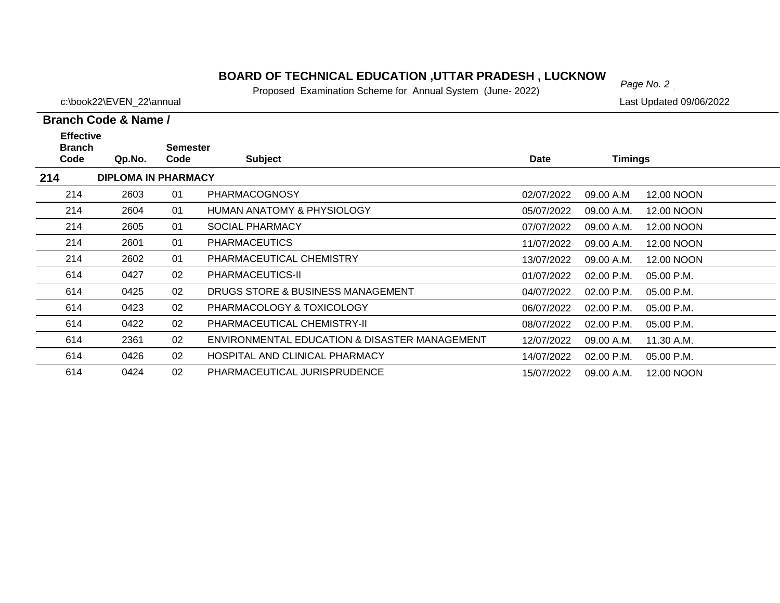# *Page No. 2* **BOARD OF TECHNICAL EDUCATION ,UTTAR PRADESH , LUCKNOW**

Proposed Examination Scheme for Annual System (June- 2022)

c:\book22\EVEN\_22\annual details are controlled by the controlled on the controlled 09/06/2022

## **Branch Code & Name /**

| <b>Effective</b><br><b>Branch</b><br>Code | Qp.No.                     | <b>Semester</b><br>Code | <b>Subject</b>                                | Date       | Timings    |            |  |
|-------------------------------------------|----------------------------|-------------------------|-----------------------------------------------|------------|------------|------------|--|
|                                           |                            |                         |                                               |            |            |            |  |
| 214                                       | <b>DIPLOMA IN PHARMACY</b> |                         |                                               |            |            |            |  |
| 214                                       | 2603                       | 01                      | <b>PHARMACOGNOSY</b>                          | 02/07/2022 | 09.00 A.M  | 12.00 NOON |  |
| 214                                       | 2604                       | 01                      | <b>HUMAN ANATOMY &amp; PHYSIOLOGY</b>         | 05/07/2022 | 09.00 A.M. | 12.00 NOON |  |
| 214                                       | 2605                       | 01                      | <b>SOCIAL PHARMACY</b>                        | 07/07/2022 | 09.00 A.M. | 12.00 NOON |  |
| 214                                       | 2601                       | 01                      | <b>PHARMACEUTICS</b>                          | 11/07/2022 | 09.00 A.M. | 12.00 NOON |  |
| 214                                       | 2602                       | 01                      | PHARMACEUTICAL CHEMISTRY                      | 13/07/2022 | 09.00 A.M. | 12.00 NOON |  |
| 614                                       | 0427                       | 02                      | PHARMACEUTICS-II                              | 01/07/2022 | 02.00 P.M. | 05.00 P.M. |  |
| 614                                       | 0425                       | 02                      | DRUGS STORE & BUSINESS MANAGEMENT             | 04/07/2022 | 02.00 P.M. | 05.00 P.M. |  |
| 614                                       | 0423                       | 02                      | PHARMACOLOGY & TOXICOLOGY                     | 06/07/2022 | 02.00 P.M. | 05.00 P.M. |  |
| 614                                       | 0422                       | 02                      | PHARMACEUTICAL CHEMISTRY-II                   | 08/07/2022 | 02.00 P.M. | 05.00 P.M. |  |
| 614                                       | 2361                       | 02                      | ENVIRONMENTAL EDUCATION & DISASTER MANAGEMENT | 12/07/2022 | 09.00 A.M. | 11.30 A.M. |  |
| 614                                       | 0426                       | 02                      | HOSPITAL AND CLINICAL PHARMACY                | 14/07/2022 | 02.00 P.M. | 05.00 P.M. |  |
| 614                                       | 0424                       | 02                      | PHARMACEUTICAL JURISPRUDENCE                  | 15/07/2022 | 09.00 A.M. | 12.00 NOON |  |